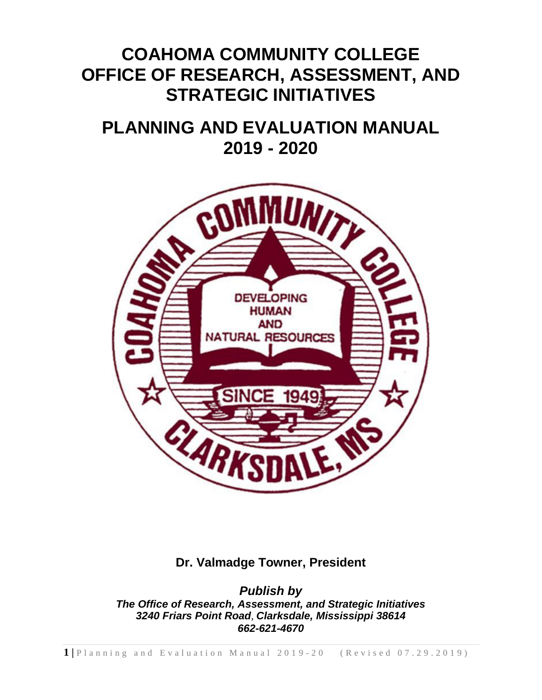# **COAHOMA COMMUNITY COLLEGE OFFICE OF RESEARCH, ASSESSMENT, AND STRATEGIC INITIATIVES**

# **PLANNING AND EVALUATION MANUAL 2019 - 2020**



## **Dr. Valmadge Towner, President**

*Publish by The Office of Research, Assessment, and Strategic Initiatives 3240 Friars Point Road, Clarksdale, Mississippi 38614 662-621-4670*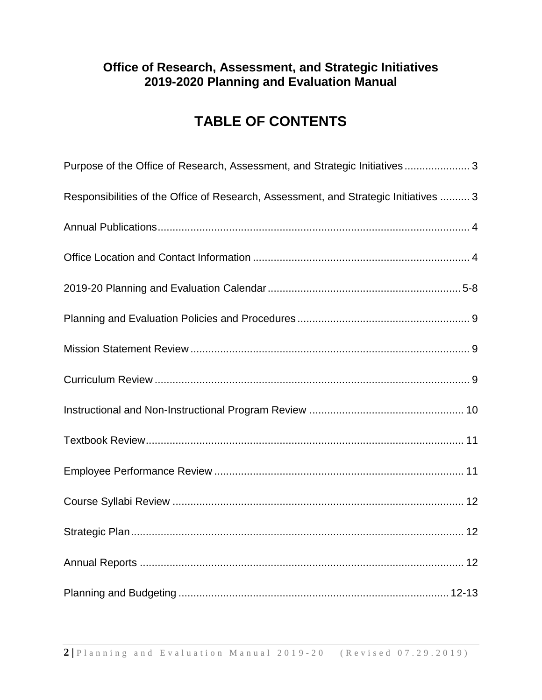## **TABLE OF CONTENTS**

| Purpose of the Office of Research, Assessment, and Strategic Initiatives 3           |
|--------------------------------------------------------------------------------------|
| Responsibilities of the Office of Research, Assessment, and Strategic Initiatives  3 |
|                                                                                      |
|                                                                                      |
|                                                                                      |
|                                                                                      |
|                                                                                      |
|                                                                                      |
|                                                                                      |
|                                                                                      |
|                                                                                      |
|                                                                                      |
|                                                                                      |
|                                                                                      |
|                                                                                      |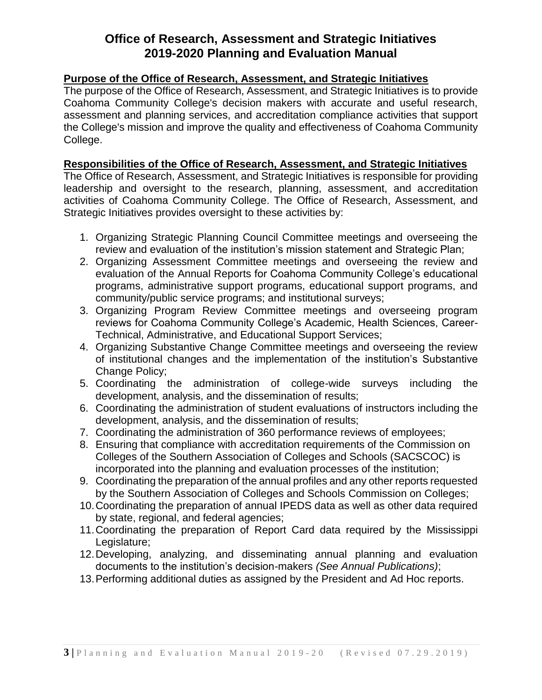#### **Purpose of the Office of Research, Assessment, and Strategic Initiatives**

The purpose of the Office of Research, Assessment, and Strategic Initiatives is to provide Coahoma Community College's decision makers with accurate and useful research, assessment and planning services, and accreditation compliance activities that support the College's mission and improve the quality and effectiveness of Coahoma Community College.

#### **Responsibilities of the Office of Research, Assessment, and Strategic Initiatives**

The Office of Research, Assessment, and Strategic Initiatives is responsible for providing leadership and oversight to the research, planning, assessment, and accreditation activities of Coahoma Community College. The Office of Research, Assessment, and Strategic Initiatives provides oversight to these activities by:

- 1. Organizing Strategic Planning Council Committee meetings and overseeing the review and evaluation of the institution's mission statement and Strategic Plan;
- 2. Organizing Assessment Committee meetings and overseeing the review and evaluation of the Annual Reports for Coahoma Community College's educational programs, administrative support programs, educational support programs, and community/public service programs; and institutional surveys;
- 3. Organizing Program Review Committee meetings and overseeing program reviews for Coahoma Community College's Academic, Health Sciences, Career-Technical, Administrative, and Educational Support Services;
- 4. Organizing Substantive Change Committee meetings and overseeing the review of institutional changes and the implementation of the institution's Substantive Change Policy;
- 5. Coordinating the administration of college-wide surveys including the development, analysis, and the dissemination of results;
- 6. Coordinating the administration of student evaluations of instructors including the development, analysis, and the dissemination of results;
- 7. Coordinating the administration of 360 performance reviews of employees;
- 8. Ensuring that compliance with accreditation requirements of the Commission on Colleges of the Southern Association of Colleges and Schools (SACSCOC) is incorporated into the planning and evaluation processes of the institution;
- 9. Coordinating the preparation of the annual profiles and any other reports requested by the Southern Association of Colleges and Schools Commission on Colleges;
- 10.Coordinating the preparation of annual IPEDS data as well as other data required by state, regional, and federal agencies;
- 11.Coordinating the preparation of Report Card data required by the Mississippi Legislature;
- 12.Developing, analyzing, and disseminating annual planning and evaluation documents to the institution's decision-makers *(See Annual Publications)*;
- 13.Performing additional duties as assigned by the President and Ad Hoc reports.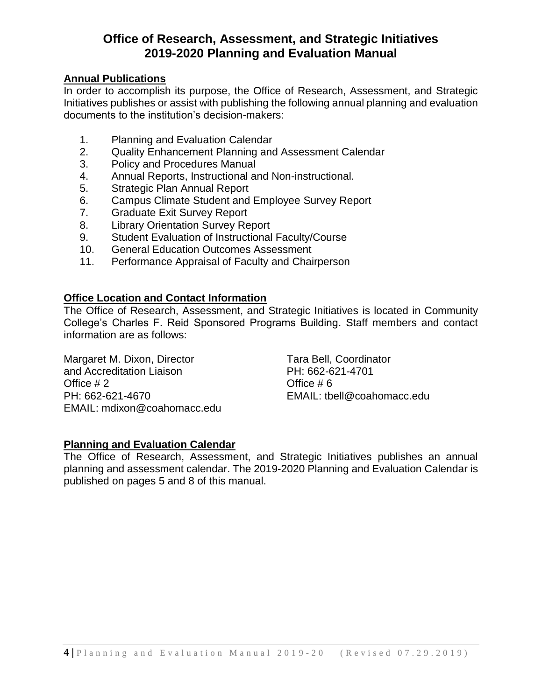#### **Annual Publications**

In order to accomplish its purpose, the Office of Research, Assessment, and Strategic Initiatives publishes or assist with publishing the following annual planning and evaluation documents to the institution's decision-makers:

- 1. Planning and Evaluation Calendar
- 2. Quality Enhancement Planning and Assessment Calendar
- 3. Policy and Procedures Manual
- 4. Annual Reports, Instructional and Non-instructional.
- 5. Strategic Plan Annual Report
- 6. Campus Climate Student and Employee Survey Report
- 7. Graduate Exit Survey Report
- 8. Library Orientation Survey Report
- 9. Student Evaluation of Instructional Faculty/Course
- 10. General Education Outcomes Assessment
- 11. Performance Appraisal of Faculty and Chairperson

#### **Office Location and Contact Information**

The Office of Research, Assessment, and Strategic Initiatives is located in Community College's Charles F. Reid Sponsored Programs Building. Staff members and contact information are as follows:

Margaret M. Dixon, Director Tara Bell, Coordinator and Accreditation Liaison **PH: 662-621-4701** Office # 2 Office # 6 PH: 662-621-4670 EMAIL: tbell@coahomacc.edu EMAIL: mdixon@coahomacc.edu

#### **Planning and Evaluation Calendar**

The Office of Research, Assessment, and Strategic Initiatives publishes an annual planning and assessment calendar. The 2019-2020 Planning and Evaluation Calendar is published on pages 5 and 8 of this manual.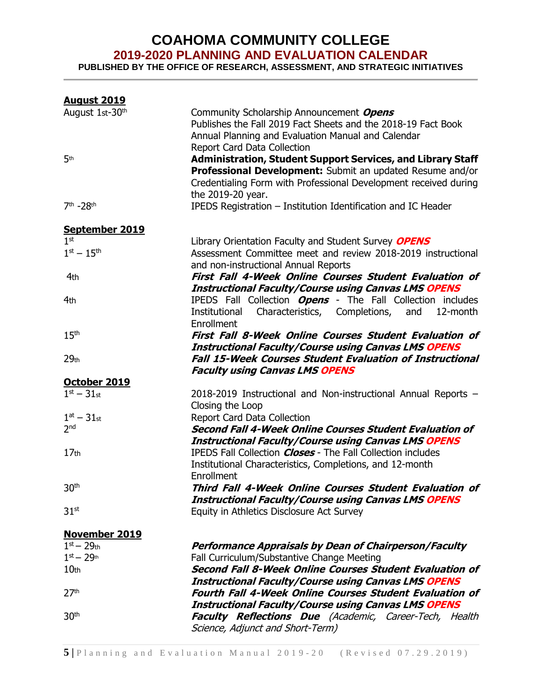### **COAHOMA COMMUNITY COLLEGE 2019-2020 PLANNING AND EVALUATION CALENDAR**

**PUBLISHED BY THE OFFICE OF RESEARCH, ASSESSMENT, AND STRATEGIC INITIATIVES**

| <b>August 2019</b>   |                                                                    |
|----------------------|--------------------------------------------------------------------|
| August 1st-30th      | Community Scholarship Announcement Opens                           |
|                      | Publishes the Fall 2019 Fact Sheets and the 2018-19 Fact Book      |
|                      | Annual Planning and Evaluation Manual and Calendar                 |
|                      | Report Card Data Collection                                        |
| 5 <sup>th</sup>      | Administration, Student Support Services, and Library Staff        |
|                      | Professional Development: Submit an updated Resume and/or          |
|                      | Credentialing Form with Professional Development received during   |
|                      | the 2019-20 year.                                                  |
| 7th -28th            | IPEDS Registration - Institution Identification and IC Header      |
|                      |                                                                    |
| September 2019       |                                                                    |
| 1 <sup>st</sup>      | Library Orientation Faculty and Student Survey OPENS               |
| $1^{st} - 15^{th}$   | Assessment Committee meet and review 2018-2019 instructional       |
|                      | and non-instructional Annual Reports                               |
| 4th                  | First Fall 4-Week Online Courses Student Evaluation of             |
|                      | <b>Instructional Faculty/Course using Canvas LMS OPENS</b>         |
| 4th                  | IPEDS Fall Collection <b>Opens</b> - The Fall Collection includes  |
|                      | Characteristics, Completions, and<br>Institutional<br>12-month     |
|                      | Enrollment                                                         |
| 15 <sup>th</sup>     | First Fall 8-Week Online Courses Student Evaluation of             |
|                      | <b>Instructional Faculty/Course using Canvas LMS OPENS</b>         |
| 29 <sub>th</sub>     | <b>Fall 15-Week Courses Student Evaluation of Instructional</b>    |
|                      | <b>Faculty using Canvas LMS OPENS</b>                              |
| October 2019         |                                                                    |
| $1^{st} - 31_{st}$   | 2018-2019 Instructional and Non-instructional Annual Reports -     |
|                      | Closing the Loop                                                   |
| $1at - 31st$         | Report Card Data Collection                                        |
| 2 <sub>nd</sub>      | Second Fall 4-Week Online Courses Student Evaluation of            |
|                      | <b>Instructional Faculty/Course using Canvas LMS OPENS</b>         |
| 17 <sub>th</sub>     | <b>IPEDS Fall Collection Closes - The Fall Collection includes</b> |
|                      | Institutional Characteristics, Completions, and 12-month           |
|                      | Enrollment                                                         |
| 30 <sup>th</sup>     | Third Fall 4-Week Online Courses Student Evaluation of             |
|                      | <b>Instructional Faculty/Course using Canvas LMS OPENS</b>         |
| 31 <sup>st</sup>     | Equity in Athletics Disclosure Act Survey                          |
|                      |                                                                    |
| <b>November 2019</b> |                                                                    |
| $1st - 29th$         | Performance Appraisals by Dean of Chairperson/Faculty              |
| $1st - 29th$         | Fall Curriculum/Substantive Change Meeting                         |
| 10 <sub>th</sub>     | Second Fall 8-Week Online Courses Student Evaluation of            |
|                      | <b>Instructional Faculty/Course using Canvas LMS OPENS</b>         |
| 27 <sup>th</sup>     | <b>Fourth Fall 4-Week Online Courses Student Evaluation of</b>     |
|                      | <b>Instructional Faculty/Course using Canvas LMS OPENS</b>         |
| 30 <sup>th</sup>     | Faculty Reflections Due (Academic, Career-Tech, Health             |
|                      | Science, Adjunct and Short-Term)                                   |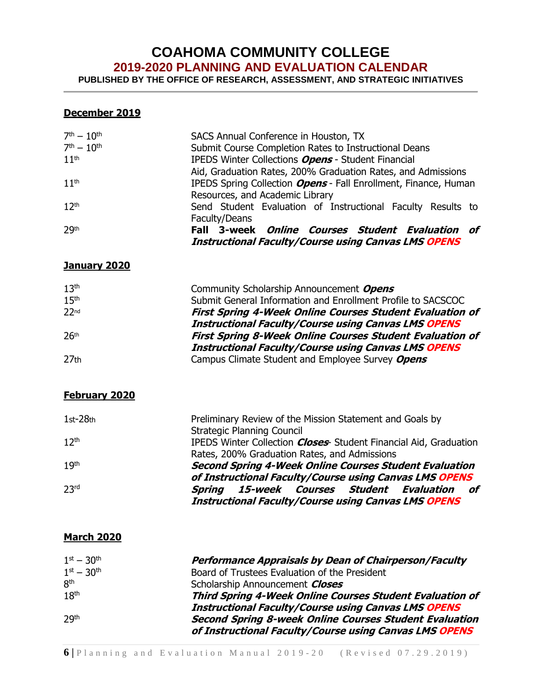## **COAHOMA COMMUNITY COLLEGE**

**2019-2020 PLANNING AND EVALUATION CALENDAR**

**PUBLISHED BY THE OFFICE OF RESEARCH, ASSESSMENT, AND STRATEGIC INITIATIVES**

#### **December 2019**

| $7^{th} - 10^{th}$ | SACS Annual Conference in Houston, TX                           |
|--------------------|-----------------------------------------------------------------|
| $7^{th} - 10^{th}$ | Submit Course Completion Rates to Instructional Deans           |
| 11 <sup>th</sup>   | <b>IPEDS Winter Collections Opens - Student Financial</b>       |
|                    | Aid, Graduation Rates, 200% Graduation Rates, and Admissions    |
| 11 <sup>th</sup>   | IPEDS Spring Collection Opens - Fall Enrollment, Finance, Human |
|                    | Resources, and Academic Library                                 |
| 12 <sup>th</sup>   | Send Student Evaluation of Instructional Faculty Results to     |
|                    | Faculty/Deans                                                   |
| 29 <sup>th</sup>   | Fall 3-week <i>Online Courses Student Evaluation of</i>         |
|                    | <b>Instructional Faculty/Course using Canvas LMS OPENS</b>      |

#### **January 2020**

| Community Scholarship Announcement Opens                        |
|-----------------------------------------------------------------|
| Submit General Information and Enrollment Profile to SACSCOC    |
| <b>First Spring 4-Week Online Courses Student Evaluation of</b> |
| <b>Instructional Faculty/Course using Canvas LMS OPENS</b>      |
| <b>First Spring 8-Week Online Courses Student Evaluation of</b> |
| <b>Instructional Faculty/Course using Canvas LMS OPENS</b>      |
| Campus Climate Student and Employee Survey Opens                |
|                                                                 |

#### **February 2020**

| $1st-28th$       | Preliminary Review of the Mission Statement and Goals by                |
|------------------|-------------------------------------------------------------------------|
|                  | <b>Strategic Planning Council</b>                                       |
| 12 <sup>th</sup> | IPEDS Winter Collection <b>Closes</b> Student Financial Aid, Graduation |
|                  | Rates, 200% Graduation Rates, and Admissions                            |
| 19 <sup>th</sup> | <b>Second Spring 4-Week Online Courses Student Evaluation</b>           |
|                  | of Instructional Faculty/Course using Canvas LMS OPENS                  |
| 23 <sup>rd</sup> | Spring 15-week Courses Student Evaluation of                            |
|                  | <b>Instructional Faculty/Course using Canvas LMS OPENS</b>              |

#### **March 2020**

| $1^{st} - 30^{th}$ | <b>Performance Appraisals by Dean of Chairperson/Faculty</b>    |
|--------------------|-----------------------------------------------------------------|
| $1^{st} - 30^{th}$ | Board of Trustees Evaluation of the President                   |
| 8 <sup>th</sup>    | Scholarship Announcement Closes                                 |
| 18 <sup>th</sup>   | <b>Third Spring 4-Week Online Courses Student Evaluation of</b> |
|                    | <b>Instructional Faculty/Course using Canvas LMS OPENS</b>      |
| 29 <sup>th</sup>   | <b>Second Spring 8-week Online Courses Student Evaluation</b>   |
|                    | of Instructional Faculty/Course using Canvas LMS OPENS          |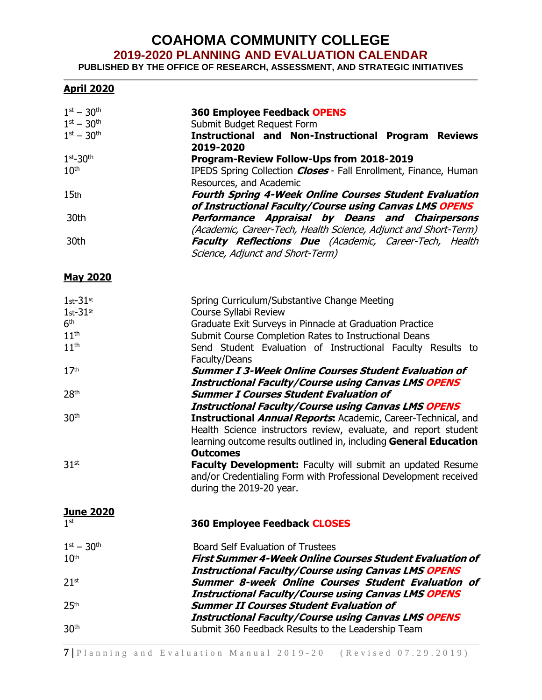# **COAHOMA COMMUNITY COLLEGE**

**2019-2020 PLANNING AND EVALUATION CALENDAR**

**PUBLISHED BY THE OFFICE OF RESEARCH, ASSESSMENT, AND STRATEGIC INITIATIVES**

#### **April 2020**

| $1^{st} - 30^{th}$<br>$1^{st} - 30^{th}$<br>$1^{st} - 30^{th}$ | <b>360 Employee Feedback OPENS</b><br>Submit Budget Request Form<br><b>Instructional and Non-Instructional Program Reviews</b><br>2019-2020                                                                                                                                |
|----------------------------------------------------------------|----------------------------------------------------------------------------------------------------------------------------------------------------------------------------------------------------------------------------------------------------------------------------|
| $1st-30th$                                                     | Program-Review Follow-Ups from 2018-2019                                                                                                                                                                                                                                   |
| 10 <sup>th</sup>                                               | IPEDS Spring Collection <b>Closes</b> - Fall Enrollment, Finance, Human                                                                                                                                                                                                    |
| 15 <sub>th</sub>                                               | Resources, and Academic<br><b>Fourth Spring 4-Week Online Courses Student Evaluation</b><br>of Instructional Faculty/Course using Canvas LMS OPENS                                                                                                                         |
| 30th                                                           | Performance Appraisal by Deans and Chairpersons                                                                                                                                                                                                                            |
| 30th                                                           | (Academic, Career-Tech, Health Science, Adjunct and Short-Term)<br><b>Faculty Reflections Due</b> (Academic, Career-Tech, Health<br>Science, Adjunct and Short-Term)                                                                                                       |
| <b>May 2020</b>                                                |                                                                                                                                                                                                                                                                            |
| $1st-31st$                                                     | Spring Curriculum/Substantive Change Meeting                                                                                                                                                                                                                               |
| $1st-31st$                                                     | Course Syllabi Review                                                                                                                                                                                                                                                      |
| 6 <sup>th</sup>                                                | Graduate Exit Surveys in Pinnacle at Graduation Practice                                                                                                                                                                                                                   |
| 11 <sup>th</sup>                                               | Submit Course Completion Rates to Instructional Deans                                                                                                                                                                                                                      |
| 11 <sup>th</sup>                                               | Send Student Evaluation of Instructional Faculty Results to                                                                                                                                                                                                                |
|                                                                | Faculty/Deans                                                                                                                                                                                                                                                              |
| 17 <sup>th</sup>                                               | <b>Summer I 3-Week Online Courses Student Evaluation of</b>                                                                                                                                                                                                                |
|                                                                | <b>Instructional Faculty/Course using Canvas LMS OPENS</b>                                                                                                                                                                                                                 |
| 28 <sup>th</sup>                                               | <b>Summer I Courses Student Evaluation of</b>                                                                                                                                                                                                                              |
| 30 <sup>th</sup>                                               | <b>Instructional Faculty/Course using Canvas LMS OPENS</b><br><b>Instructional Annual Reports:</b> Academic, Career-Technical, and<br>Health Science instructors review, evaluate, and report student<br>learning outcome results outlined in, including General Education |
| 31 <sup>st</sup>                                               | <b>Outcomes</b><br>Faculty Development: Faculty will submit an updated Resume<br>and/or Credentialing Form with Professional Development received<br>during the 2019-20 year.                                                                                              |
| <b>June 2020</b>                                               |                                                                                                                                                                                                                                                                            |
| 1 <sup>st</sup>                                                | <b>360 Employee Feedback CLOSES</b>                                                                                                                                                                                                                                        |
| $1^{st} - 30^{th}$                                             | <b>Board Self Evaluation of Trustees</b>                                                                                                                                                                                                                                   |
| 10 <sup>th</sup>                                               | <b>First Summer 4-Week Online Courses Student Evaluation of</b>                                                                                                                                                                                                            |
|                                                                | <b>Instructional Faculty/Course using Canvas LMS OPENS</b>                                                                                                                                                                                                                 |
| $21$ <sup>st</sup>                                             | Summer 8-week Online Courses Student Evaluation of<br><b>Instructional Faculty/Course using Canvas LMS OPENS</b>                                                                                                                                                           |
| 25 <sup>th</sup>                                               | <b>Summer II Courses Student Evaluation of</b>                                                                                                                                                                                                                             |
| 30 <sup>th</sup>                                               | <b>Instructional Faculty/Course using Canvas LMS OPENS</b><br>Submit 360 Feedback Results to the Leadership Team                                                                                                                                                           |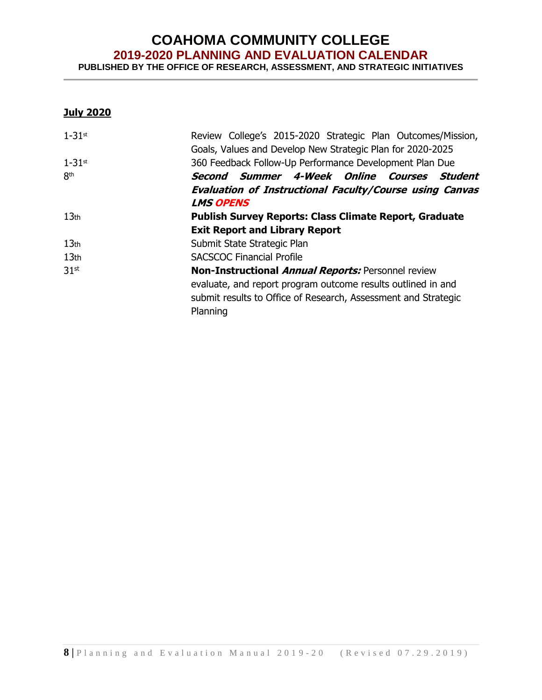## **COAHOMA COMMUNITY COLLEGE 2019-2020 PLANNING AND EVALUATION CALENDAR**

**PUBLISHED BY THE OFFICE OF RESEARCH, ASSESSMENT, AND STRATEGIC INITIATIVES**

#### **July 2020**

| $1-31$ st        | Review College's 2015-2020 Strategic Plan Outcomes/Mission,<br>Goals, Values and Develop New Strategic Plan for 2020-2025                  |
|------------------|--------------------------------------------------------------------------------------------------------------------------------------------|
| $1-31$ st        | 360 Feedback Follow-Up Performance Development Plan Due                                                                                    |
| 8 <sup>th</sup>  | Second Summer 4-Week Online Courses Student                                                                                                |
|                  | <b>Evaluation of Instructional Faculty/Course using Canvas</b>                                                                             |
|                  | <b>LMS OPENS</b>                                                                                                                           |
| 13 <sub>th</sub> | <b>Publish Survey Reports: Class Climate Report, Graduate</b>                                                                              |
|                  | <b>Exit Report and Library Report</b>                                                                                                      |
| 13 <sub>th</sub> | Submit State Strategic Plan                                                                                                                |
| 13 <sub>th</sub> | <b>SACSCOC Financial Profile</b>                                                                                                           |
| 31 <sup>st</sup> | <b>Non-Instructional Annual Reports: Personnel review</b>                                                                                  |
|                  | evaluate, and report program outcome results outlined in and<br>submit results to Office of Research, Assessment and Strategic<br>Planning |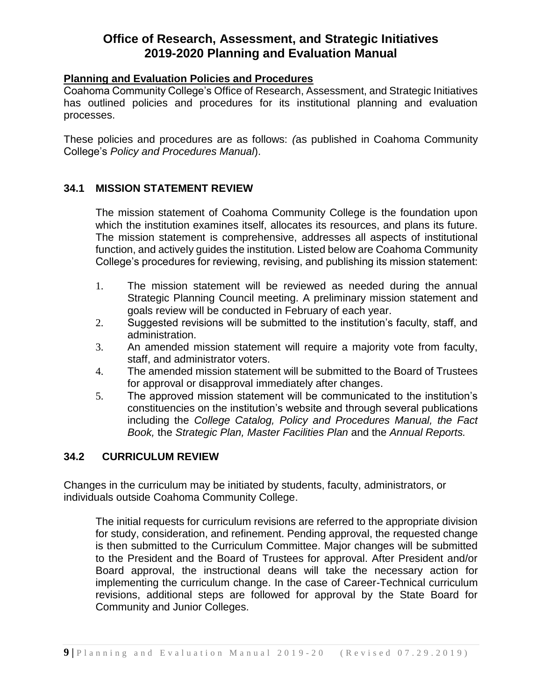#### **Planning and Evaluation Policies and Procedures**

Coahoma Community College's Office of Research, Assessment, and Strategic Initiatives has outlined policies and procedures for its institutional planning and evaluation processes.

These policies and procedures are as follows: *(*as published in Coahoma Community College's *Policy and Procedures Manual*).

#### **34.1 MISSION STATEMENT REVIEW**

The mission statement of Coahoma Community College is the foundation upon which the institution examines itself, allocates its resources, and plans its future. The mission statement is comprehensive, addresses all aspects of institutional function, and actively guides the institution. Listed below are Coahoma Community College's procedures for reviewing, revising, and publishing its mission statement:

- 1. The mission statement will be reviewed as needed during the annual Strategic Planning Council meeting. A preliminary mission statement and goals review will be conducted in February of each year.
- 2. Suggested revisions will be submitted to the institution's faculty, staff, and administration.
- 3. An amended mission statement will require a majority vote from faculty, staff, and administrator voters.
- 4. The amended mission statement will be submitted to the Board of Trustees for approval or disapproval immediately after changes.
- 5. The approved mission statement will be communicated to the institution's constituencies on the institution's website and through several publications including the *College Catalog, Policy and Procedures Manual, the Fact Book,* the *Strategic Plan, Master Facilities Plan* and the *Annual Reports.*

#### **34.2 CURRICULUM REVIEW**

Changes in the curriculum may be initiated by students, faculty, administrators, or individuals outside Coahoma Community College.

The initial requests for curriculum revisions are referred to the appropriate division for study, consideration, and refinement. Pending approval, the requested change is then submitted to the Curriculum Committee. Major changes will be submitted to the President and the Board of Trustees for approval. After President and/or Board approval, the instructional deans will take the necessary action for implementing the curriculum change. In the case of Career-Technical curriculum revisions, additional steps are followed for approval by the State Board for Community and Junior Colleges.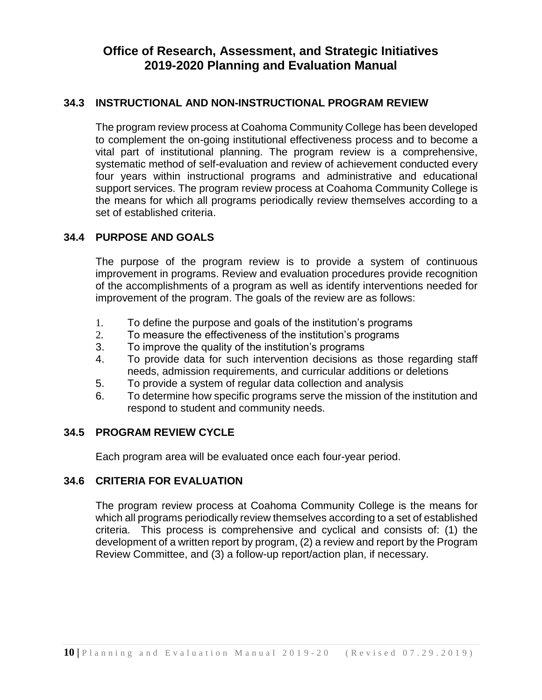#### **34.3 INSTRUCTIONAL AND NON-INSTRUCTIONAL PROGRAM REVIEW**

The program review process at Coahoma Community College has been developed to complement the on-going institutional effectiveness process and to become a vital part of institutional planning. The program review is a comprehensive, systematic method of self-evaluation and review of achievement conducted every four years within instructional programs and administrative and educational support services. The program review process at Coahoma Community College is the means for which all programs periodically review themselves according to a set of established criteria.

#### **34.4 PURPOSE AND GOALS**

The purpose of the program review is to provide a system of continuous improvement in programs. Review and evaluation procedures provide recognition of the accomplishments of a program as well as identify interventions needed for improvement of the program. The goals of the review are as follows:

- 1. To define the purpose and goals of the institution's programs
- 2. To measure the effectiveness of the institution's programs
- 3. To improve the quality of the institution's programs
- 4. To provide data for such intervention decisions as those regarding staff needs, admission requirements, and curricular additions or deletions
- 5. To provide a system of regular data collection and analysis
- 6. To determine how specific programs serve the mission of the institution and respond to student and community needs.

#### **34.5 PROGRAM REVIEW CYCLE**

Each program area will be evaluated once each four-year period.

#### **34.6 CRITERIA FOR EVALUATION**

The program review process at Coahoma Community College is the means for which all programs periodically review themselves according to a set of established criteria. This process is comprehensive and cyclical and consists of: (1) the development of a written report by program, (2) a review and report by the Program Review Committee, and (3) a follow-up report/action plan, if necessary.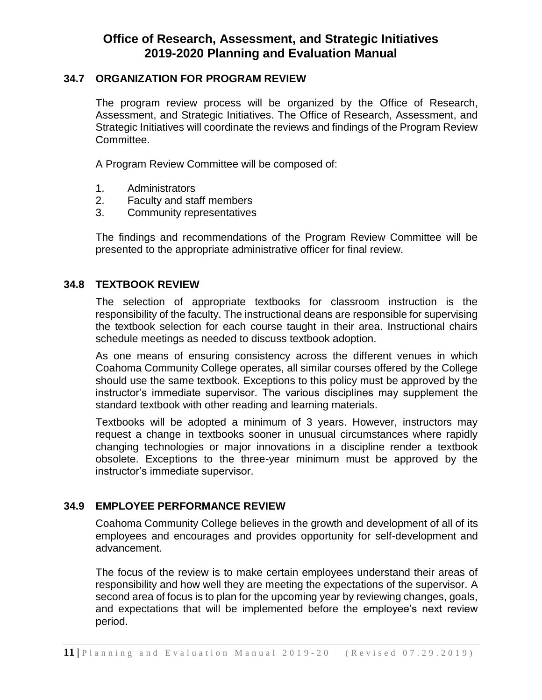#### **34.7 ORGANIZATION FOR PROGRAM REVIEW**

The program review process will be organized by the Office of Research, Assessment, and Strategic Initiatives. The Office of Research, Assessment, and Strategic Initiatives will coordinate the reviews and findings of the Program Review Committee.

A Program Review Committee will be composed of:

- 1. Administrators
- 2. Faculty and staff members
- 3. Community representatives

The findings and recommendations of the Program Review Committee will be presented to the appropriate administrative officer for final review.

#### **34.8 TEXTBOOK REVIEW**

The selection of appropriate textbooks for classroom instruction is the responsibility of the faculty. The instructional deans are responsible for supervising the textbook selection for each course taught in their area. Instructional chairs schedule meetings as needed to discuss textbook adoption.

As one means of ensuring consistency across the different venues in which Coahoma Community College operates, all similar courses offered by the College should use the same textbook. Exceptions to this policy must be approved by the instructor's immediate supervisor. The various disciplines may supplement the standard textbook with other reading and learning materials.

Textbooks will be adopted a minimum of 3 years. However, instructors may request a change in textbooks sooner in unusual circumstances where rapidly changing technologies or major innovations in a discipline render a textbook obsolete. Exceptions to the three-year minimum must be approved by the instructor's immediate supervisor.

#### **34.9 EMPLOYEE PERFORMANCE REVIEW**

Coahoma Community College believes in the growth and development of all of its employees and encourages and provides opportunity for self-development and advancement.

The focus of the review is to make certain employees understand their areas of responsibility and how well they are meeting the expectations of the supervisor. A second area of focus is to plan for the upcoming year by reviewing changes, goals, and expectations that will be implemented before the employee's next review period.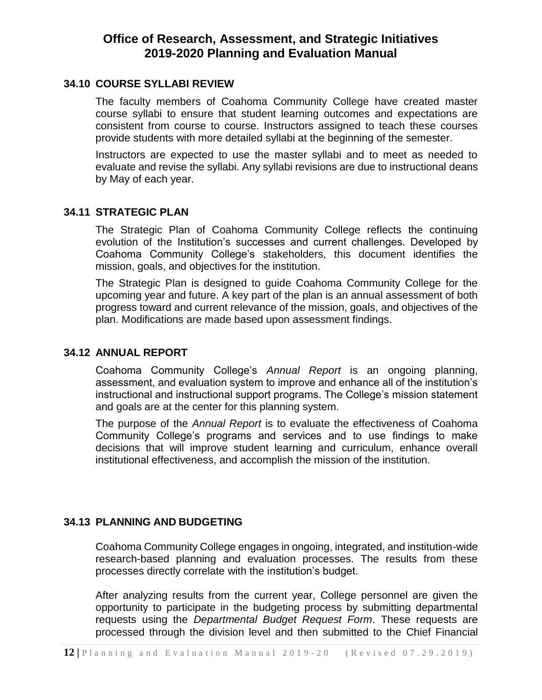#### **34.10 COURSE SYLLABI REVIEW**

The faculty members of Coahoma Community College have created master course syllabi to ensure that student learning outcomes and expectations are consistent from course to course. Instructors assigned to teach these courses provide students with more detailed syllabi at the beginning of the semester.

Instructors are expected to use the master syllabi and to meet as needed to evaluate and revise the syllabi. Any syllabi revisions are due to instructional deans by May of each year.

#### **34.11 STRATEGIC PLAN**

The Strategic Plan of Coahoma Community College reflects the continuing evolution of the Institution's successes and current challenges. Developed by Coahoma Community College's stakeholders, this document identifies the mission, goals, and objectives for the institution.

The Strategic Plan is designed to guide Coahoma Community College for the upcoming year and future. A key part of the plan is an annual assessment of both progress toward and current relevance of the mission, goals, and objectives of the plan. Modifications are made based upon assessment findings.

#### **34.12 ANNUAL REPORT**

Coahoma Community College's *Annual Report* is an ongoing planning, assessment, and evaluation system to improve and enhance all of the institution's instructional and instructional support programs. The College's mission statement and goals are at the center for this planning system.

The purpose of the *Annual Report* is to evaluate the effectiveness of Coahoma Community College's programs and services and to use findings to make decisions that will improve student learning and curriculum, enhance overall institutional effectiveness, and accomplish the mission of the institution.

#### **34.13 PLANNING AND BUDGETING**

Coahoma Community College engages in ongoing, integrated, and institution-wide research-based planning and evaluation processes. The results from these processes directly correlate with the institution's budget.

After analyzing results from the current year, College personnel are given the opportunity to participate in the budgeting process by submitting departmental requests using the *Departmental Budget Request Form*. These requests are processed through the division level and then submitted to the Chief Financial